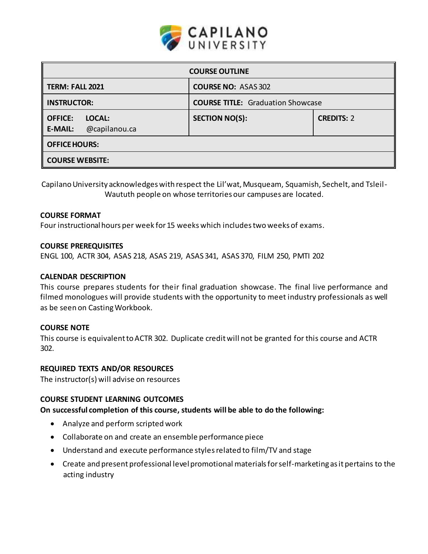

| <b>COURSE OUTLINE</b>                                        |                                          |                   |  |  |  |
|--------------------------------------------------------------|------------------------------------------|-------------------|--|--|--|
| TERM: FALL 2021                                              | <b>COURSE NO: ASAS 302</b>               |                   |  |  |  |
| <b>INSTRUCTOR:</b>                                           | <b>COURSE TITLE:</b> Graduation Showcase |                   |  |  |  |
| $\parallel$ office:<br>LOCAL:<br>@capilanou.ca<br>$E$ -MAIL: | <b>SECTION NO(S):</b>                    | <b>CREDITS: 2</b> |  |  |  |
| OFFICE HOURS:                                                |                                          |                   |  |  |  |
| <b>COURSE WEBSITE:</b>                                       |                                          |                   |  |  |  |

Capilano University acknowledges with respect the Lil'wat, Musqueam, Squamish, Sechelt, and Tsleil-Waututh people on whose territories our campuses are located.

### **COURSE FORMAT**

Four instructional hours per week for15 weeks which includes two weeks of exams.

#### **COURSE PREREQUISITES**

ENGL 100, ACTR 304, ASAS 218, ASAS 219, ASAS 341, ASAS 370, FILM 250, PMTI 202

### **CALENDAR DESCRIPTION**

This course prepares students for their final graduation showcase. The final live performance and filmed monologues will provide students with the opportunity to meet industry professionals as well as be seen on Casting Workbook.

#### **COURSE NOTE**

This course is equivalent to ACTR 302. Duplicate credit will not be granted for this course and ACTR 302.

#### **REQUIRED TEXTS AND/OR RESOURCES**

The instructor(s) will advise on resources

### **COURSE STUDENT LEARNING OUTCOMES**

**On successful completion of this course, students will be able to do the following:**

- Analyze and perform scripted work
- Collaborate on and create an ensemble performance piece
- Understand and execute performance styles related to film/TV and stage
- Create and present professional level promotional materials for self-marketing as it pertains to the acting industry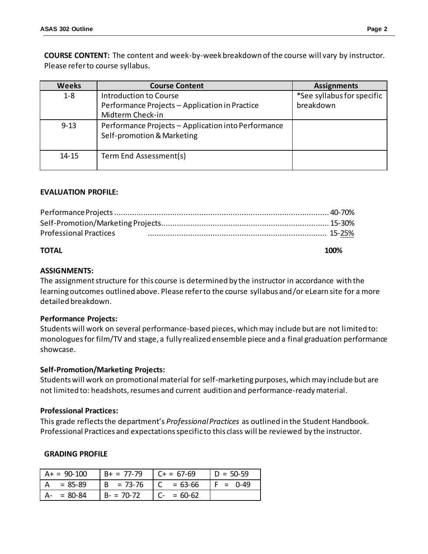**COURSE CONTENT:** The content and week-by-week breakdown of the course will vary by instructor. Please refer to course syllabus.

| <b>Weeks</b> | <b>Course Content</b>                                                                        | <b>Assignments</b>                      |
|--------------|----------------------------------------------------------------------------------------------|-----------------------------------------|
| $1 - 8$      | Introduction to Course<br>Performance Projects - Application in Practice<br>Midterm Check-in | *See syllabus for specific<br>breakdown |
| $9 - 13$     | Performance Projects - Application into Performance<br>Self-promotion & Marketing            |                                         |
| 14-15        | Term End Assessment(s)                                                                       |                                         |

### **EVALUATION PROFILE:**

| <b>Professional Practices</b> |  |
|-------------------------------|--|
|                               |  |

#### **TOTAL 100%**

#### **ASSIGNMENTS:**

The assignment structure for this course is determined by the instructor in accordance with the learning outcomes outlined above. Please refer to the course syllabus and/or eLearn site for a more detailed breakdown.

#### **Performance Projects:**

Students will work on several performance-based pieces, which may include but are not limited to: monologues for film/TV and stage, a fully realized ensemble piece and a final graduation performance showcase.

#### **Self-Promotion/Marketing Projects:**

Students will work on promotional material for self-marketing purposes, which may include but are not limited to: headshots, resumes and current audition and performance-ready material.

#### **Professional Practices:**

This grade reflects the department's *Professional Practices* as outlined in the Student Handbook. Professional Practices and expectations specific to this class will be reviewed by the instructor.

#### **GRADING PROFILE**

| $A+ = 90-100$ | $B+ = 77-79$ | $C + 57-69$                                   | $D = 50-59$ |
|---------------|--------------|-----------------------------------------------|-------------|
| $= 85 - 89$   | $B = 73-76$  | $\begin{bmatrix} C & = 63 - 66 \end{bmatrix}$ | $F = 0.49$  |
| $= 80 - 84$   | $B - 70-72$  | $\vert$ C- = 60-62                            |             |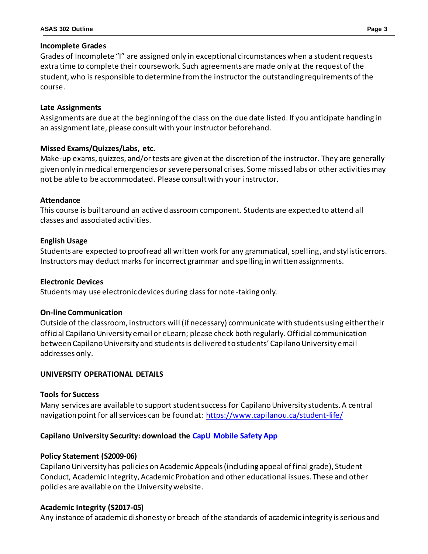### **Incomplete Grades**

Grades of Incomplete "I" are assigned only in exceptional circumstances when a student requests extra time to complete their coursework. Such agreements are made only at the request of the student, who is responsible to determine from the instructor the outstanding requirements of the course.

### **Late Assignments**

Assignments are due at the beginning of the class on the due date listed. If you anticipate handing in an assignment late, please consult with your instructor beforehand.

# **Missed Exams/Quizzes/Labs, etc.**

Make-up exams, quizzes, and/or tests are given at the discretion of the instructor. They are generally given only in medical emergencies or severe personal crises. Some missed labs or other activities may not be able to be accommodated. Please consult with your instructor.

# **Attendance**

This course is built around an active classroom component. Students are expected to attend all classes and associated activities.

# **English Usage**

Students are expected to proofread all written work for any grammatical, spelling, and stylistic errors. Instructors may deduct marks for incorrect grammar and spelling in written assignments.

### **Electronic Devices**

Students may use electronic devices during class for note-taking only.

### **On-line Communication**

Outside of the classroom, instructors will (if necessary) communicate with students using either their official Capilano University email or eLearn; please check both regularly. Official communication between Capilano University and students is delivered to students' Capilano University email addresses only.

# **UNIVERSITY OPERATIONAL DETAILS**

### **Tools for Success**

Many services are available to support student success for Capilano University students. A central navigation point for all services can be found at: <https://www.capilanou.ca/student-life/>

# **Capilano University Security: download the [CapU Mobile Safety App](https://www.capilanou.ca/student-life/support--wellness/safety--security/capu-safe-app/)**

# **Policy Statement (S2009-06)**

Capilano University has policies on Academic Appeals (including appeal of final grade), Student Conduct, Academic Integrity, Academic Probation and other educational issues. These and other policies are available on the University website.

# **Academic Integrity (S2017-05)**

Any instance of academic dishonesty or breach of the standards of academic integrity is serious and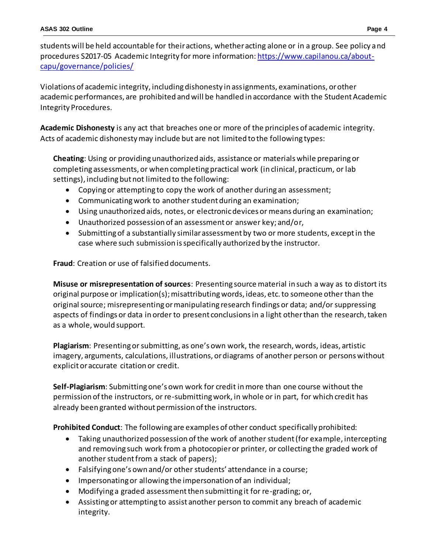students will be held accountable for their actions, whether acting alone or in a group. See policy and procedures S2017-05 Academic Integrity for more information[: https://www.capilanou.ca/about](https://www.capilanou.ca/about-capu/governance/policies/)[capu/governance/policies/](https://www.capilanou.ca/about-capu/governance/policies/)

Violations of academic integrity, including dishonesty in assignments, examinations, or other academic performances, are prohibited and will be handled in accordance with the Student Academic Integrity Procedures.

**Academic Dishonesty** is any act that breaches one or more of the principles of academic integrity. Acts of academic dishonesty may include but are not limited to the following types:

**Cheating**: Using or providing unauthorized aids, assistance or materials while preparing or completing assessments, or when completing practical work (in clinical, practicum, or lab settings), including but not limited to the following:

- Copying or attempting to copy the work of another during an assessment;
- Communicating work to another student during an examination;
- Using unauthorized aids, notes, or electronic devices or means during an examination;
- Unauthorized possession of an assessment or answer key; and/or,
- Submitting of a substantially similar assessment by two or more students, except in the case where such submission is specifically authorized by the instructor.

**Fraud**: Creation or use of falsified documents.

**Misuse or misrepresentation of sources**: Presenting source material in such a way as to distort its original purpose or implication(s); misattributing words, ideas, etc. to someone other than the original source; misrepresenting or manipulating research findings or data; and/or suppressing aspects of findings or data in order to present conclusions in a light other than the research, taken as a whole, would support.

**Plagiarism**: Presenting or submitting, as one's own work, the research, words, ideas, artistic imagery, arguments, calculations, illustrations, or diagrams of another person or persons without explicit or accurate citation or credit.

**Self-Plagiarism**: Submitting one's own work for credit in more than one course without the permission of the instructors, or re-submitting work, in whole or in part, for which credit has already been granted without permission of the instructors.

**Prohibited Conduct**: The following are examples of other conduct specifically prohibited:

- Taking unauthorized possession of the work of another student (for example, intercepting and removing such work from a photocopier or printer, or collecting the graded work of another student from a stack of papers);
- Falsifying one's own and/or other students' attendance in a course;
- Impersonating or allowing the impersonation of an individual;
- Modifying a graded assessment then submitting it for re-grading; or,
- Assisting or attempting to assist another person to commit any breach of academic integrity.